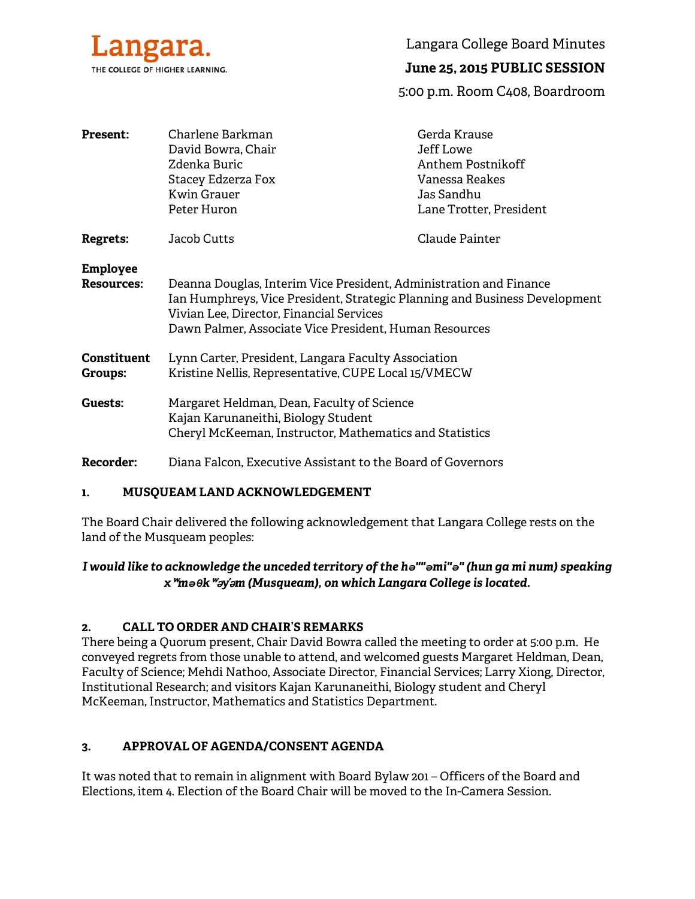

Langara College Board Minutes

# **June 25, 2015 PUBLIC SESSION**

5:00 p.m. Room C408, Boardroom

| <b>Present:</b>                      | Charlene Barkman<br>David Bowra, Chair<br>Zdenka Buric<br>Stacey Edzerza Fox<br>Kwin Grauer<br>Peter Huron                                                                                                                                             | Gerda Krause<br><b>Jeff Lowe</b><br>Anthem Postnikoff<br>Vanessa Reakes<br>Jas Sandhu<br>Lane Trotter, President |
|--------------------------------------|--------------------------------------------------------------------------------------------------------------------------------------------------------------------------------------------------------------------------------------------------------|------------------------------------------------------------------------------------------------------------------|
| <b>Regrets:</b>                      | Jacob Cutts                                                                                                                                                                                                                                            | Claude Painter                                                                                                   |
| <b>Employee</b><br><b>Resources:</b> | Deanna Douglas, Interim Vice President, Administration and Finance<br>Ian Humphreys, Vice President, Strategic Planning and Business Development<br>Vivian Lee, Director, Financial Services<br>Dawn Palmer, Associate Vice President, Human Resources |                                                                                                                  |
| <b>Constituent</b><br>Groups:        | Lynn Carter, President, Langara Faculty Association<br>Kristine Nellis, Representative, CUPE Local 15/VMECW                                                                                                                                            |                                                                                                                  |
| Guests:                              | Margaret Heldman, Dean, Faculty of Science<br>Kajan Karunaneithi, Biology Student<br>Cheryl McKeeman, Instructor, Mathematics and Statistics                                                                                                           |                                                                                                                  |
| <b>Recorder:</b>                     | Diana Falcon, Executive Assistant to the Board of Governors                                                                                                                                                                                            |                                                                                                                  |

#### **1. MUSQUEAM LAND ACKNOWLEDGEMENT**

The Board Chair delivered the following acknowledgement that Langara College rests on the land of the Musqueam peoples:

## *I would like to acknowledge the unceded territory of the hə""əmi"ə" (hun ga mi num) speaking x*ʷ*məθk*ʷə*y*̓ə*m (Musqueam), on which Langara College is located.*

#### **2. CALL TO ORDER AND CHAIR'S REMARKS**

There being a Quorum present, Chair David Bowra called the meeting to order at 5:00 p.m. He conveyed regrets from those unable to attend, and welcomed guests Margaret Heldman, Dean, Faculty of Science; Mehdi Nathoo, Associate Director, Financial Services; Larry Xiong, Director, Institutional Research; and visitors Kajan Karunaneithi, Biology student and Cheryl McKeeman, Instructor, Mathematics and Statistics Department.

#### **3. APPROVAL OF AGENDA/CONSENT AGENDA**

It was noted that to remain in alignment with Board Bylaw 201 – Officers of the Board and Elections, item 4. Election of the Board Chair will be moved to the In-Camera Session.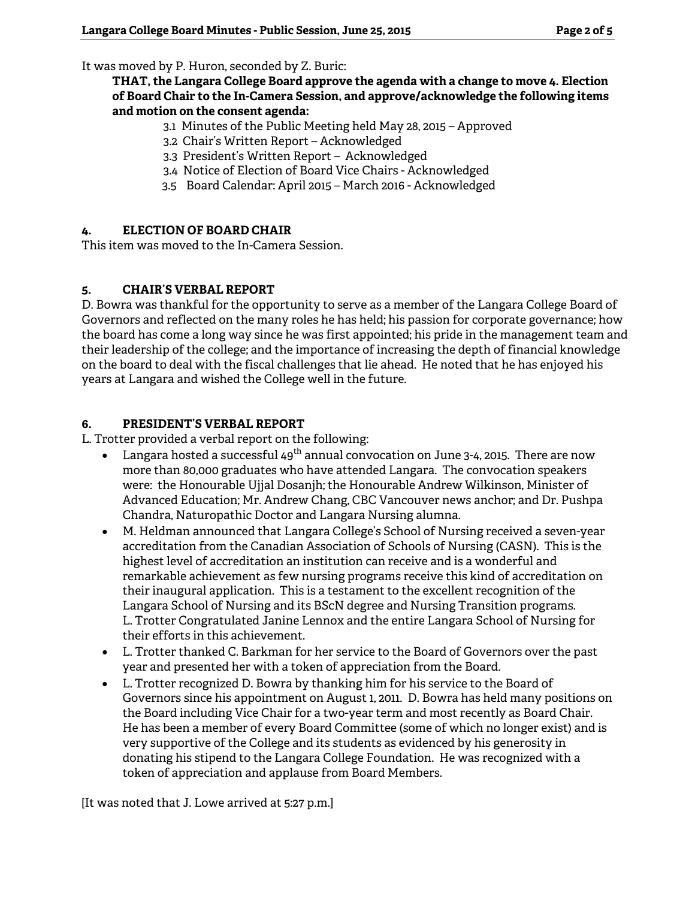It was moved by P. Huron, seconded by Z. Buric:

**THAT, the Langara College Board approve the agenda with a change to move 4. Election of Board Chair to the In-Camera Session, and approve/acknowledge the following items and motion on the consent agenda:** 

- 3.1 Minutes of the Public Meeting held May 28, 2015 Approved
- 3.2 Chair's Written Report Acknowledged
- 3.3 President's Written Report Acknowledged
- 3.4 Notice of Election of Board Vice Chairs Acknowledged
- 3.5 Board Calendar: April 2015 March 2016 Acknowledged

### **4. ELECTION OF BOARD CHAIR**

This item was moved to the In-Camera Session.

#### **5. CHAIR'S VERBAL REPORT**

D. Bowra was thankful for the opportunity to serve as a member of the Langara College Board of Governors and reflected on the many roles he has held; his passion for corporate governance; how the board has come a long way since he was first appointed; his pride in the management team and their leadership of the college; and the importance of increasing the depth of financial knowledge on the board to deal with the fiscal challenges that lie ahead. He noted that he has enjoyed his years at Langara and wished the College well in the future.

#### **6. PRESIDENT'S VERBAL REPORT**

L. Trotter provided a verbal report on the following:

- Langara hosted a successful 49<sup>th</sup> annual convocation on June 3-4, 2015. There are now more than 80,000 graduates who have attended Langara. The convocation speakers were: the Honourable Ujjal Dosanjh; the Honourable Andrew Wilkinson, Minister of Advanced Education; Mr. Andrew Chang, CBC Vancouver news anchor; and Dr. Pushpa Chandra, Naturopathic Doctor and Langara Nursing alumna.
- M. Heldman announced that Langara College's School of Nursing received a seven-year accreditation from the Canadian Association of Schools of Nursing (CASN). This is the highest level of accreditation an institution can receive and is a wonderful and remarkable achievement as few nursing programs receive this kind of accreditation on their inaugural application. This is a testament to the excellent recognition of the Langara School of Nursing and its BScN degree and Nursing Transition programs. L. Trotter Congratulated Janine Lennox and the entire Langara School of Nursing for their efforts in this achievement.
- L. Trotter thanked C. Barkman for her service to the Board of Governors over the past year and presented her with a token of appreciation from the Board.
- L. Trotter recognized D. Bowra by thanking him for his service to the Board of Governors since his appointment on August 1, 2011. D. Bowra has held many positions on the Board including Vice Chair for a two-year term and most recently as Board Chair. He has been a member of every Board Committee (some of which no longer exist) and is very supportive of the College and its students as evidenced by his generosity in donating his stipend to the Langara College Foundation. He was recognized with a token of appreciation and applause from Board Members.

[It was noted that J. Lowe arrived at 5:27 p.m.]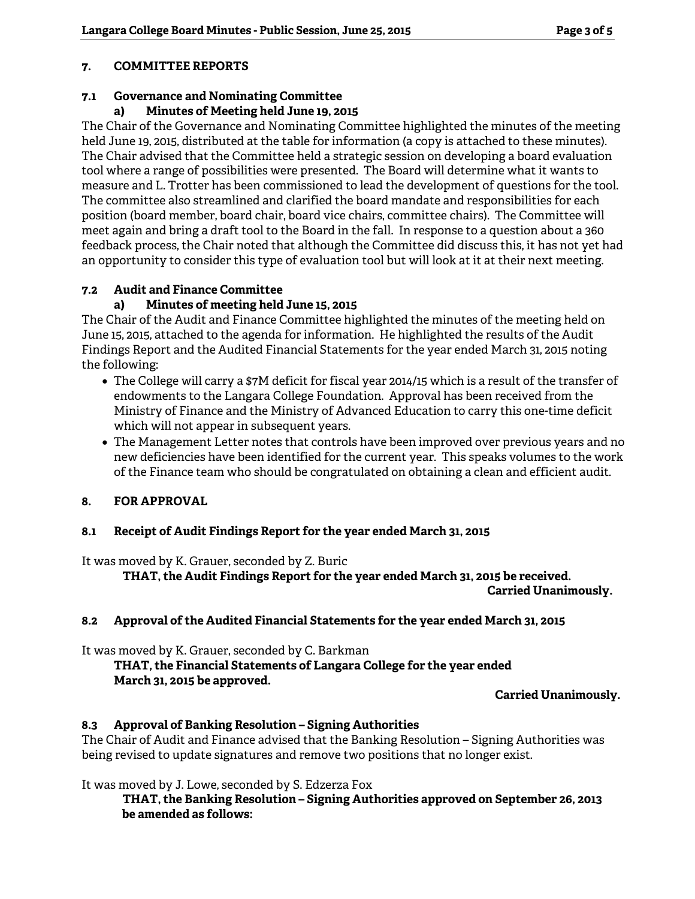## **7. COMMITTEE REPORTS**

# **7.1 Governance and Nominating Committee**

# **a) Minutes of Meeting held June 19, 2015**

The Chair of the Governance and Nominating Committee highlighted the minutes of the meeting held June 19, 2015, distributed at the table for information (a copy is attached to these minutes). The Chair advised that the Committee held a strategic session on developing a board evaluation tool where a range of possibilities were presented. The Board will determine what it wants to measure and L. Trotter has been commissioned to lead the development of questions for the tool. The committee also streamlined and clarified the board mandate and responsibilities for each position (board member, board chair, board vice chairs, committee chairs). The Committee will meet again and bring a draft tool to the Board in the fall. In response to a question about a 360 feedback process, the Chair noted that although the Committee did discuss this, it has not yet had an opportunity to consider this type of evaluation tool but will look at it at their next meeting.

## **7.2 Audit and Finance Committee**

# **a) Minutes of meeting held June 15, 2015**

The Chair of the Audit and Finance Committee highlighted the minutes of the meeting held on June 15, 2015, attached to the agenda for information. He highlighted the results of the Audit Findings Report and the Audited Financial Statements for the year ended March 31, 2015 noting the following:

- The College will carry a \$7M deficit for fiscal year 2014/15 which is a result of the transfer of endowments to the Langara College Foundation. Approval has been received from the Ministry of Finance and the Ministry of Advanced Education to carry this one-time deficit which will not appear in subsequent years.
- The Management Letter notes that controls have been improved over previous years and no new deficiencies have been identified for the current year. This speaks volumes to the work of the Finance team who should be congratulated on obtaining a clean and efficient audit.

# **8. FOR APPROVAL**

# **8.1 Receipt of Audit Findings Report for the year ended March 31, 2015**

It was moved by K. Grauer, seconded by Z. Buric

**THAT, the Audit Findings Report for the year ended March 31, 2015 be received.** 

**Carried Unanimously.** 

#### **8.2 Approval of the Audited Financial Statements for the year ended March 31, 2015**

It was moved by K. Grauer, seconded by C. Barkman

 **THAT, the Financial Statements of Langara College for the year ended March 31, 2015 be approved.** 

**Carried Unanimously.** 

#### **8.3 Approval of Banking Resolution – Signing Authorities**

The Chair of Audit and Finance advised that the Banking Resolution – Signing Authorities was being revised to update signatures and remove two positions that no longer exist.

It was moved by J. Lowe, seconded by S. Edzerza Fox

**THAT, the Banking Resolution – Signing Authorities approved on September 26, 2013 be amended as follows:**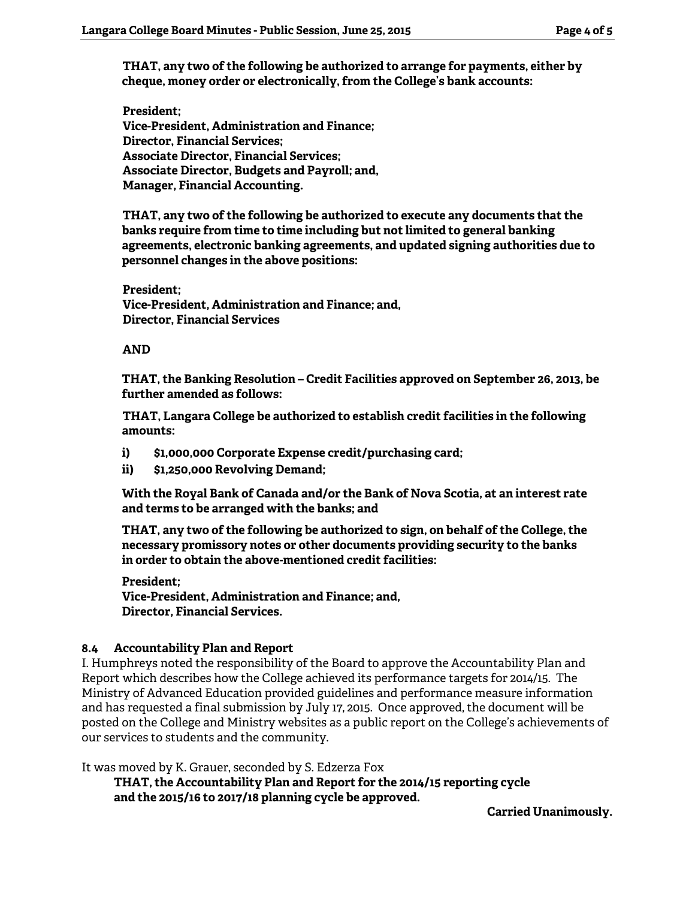**THAT, any two of the following be authorized to arrange for payments, either by cheque, money order or electronically, from the College's bank accounts:** 

**President; Vice-President, Administration and Finance; Director, Financial Services; Associate Director, Financial Services; Associate Director, Budgets and Payroll; and, Manager, Financial Accounting.** 

**THAT, any two of the following be authorized to execute any documents that the banks require from time to time including but not limited to general banking agreements, electronic banking agreements, and updated signing authorities due to personnel changes in the above positions:** 

**President; Vice-President, Administration and Finance; and, Director, Financial Services** 

#### **AND**

**THAT, the Banking Resolution – Credit Facilities approved on September 26, 2013, be further amended as follows:** 

**THAT, Langara College be authorized to establish credit facilities in the following amounts:** 

- **i) \$1,000,000 Corporate Expense credit/purchasing card;**
- **ii) \$1,250,000 Revolving Demand;**

**With the Royal Bank of Canada and/or the Bank of Nova Scotia, at an interest rate and terms to be arranged with the banks; and** 

**THAT, any two of the following be authorized to sign, on behalf of the College, the necessary promissory notes or other documents providing security to the banks in order to obtain the above-mentioned credit facilities:** 

#### **President;**

**Vice-President, Administration and Finance; and, Director, Financial Services.** 

#### **8.4 Accountability Plan and Report**

I. Humphreys noted the responsibility of the Board to approve the Accountability Plan and Report which describes how the College achieved its performance targets for 2014/15. The Ministry of Advanced Education provided guidelines and performance measure information and has requested a final submission by July 17, 2015. Once approved, the document will be posted on the College and Ministry websites as a public report on the College's achievements of our services to students and the community.

It was moved by K. Grauer, seconded by S. Edzerza Fox

**THAT, the Accountability Plan and Report for the 2014/15 reporting cycle and the 2015/16 to 2017/18 planning cycle be approved.** 

**Carried Unanimously.**